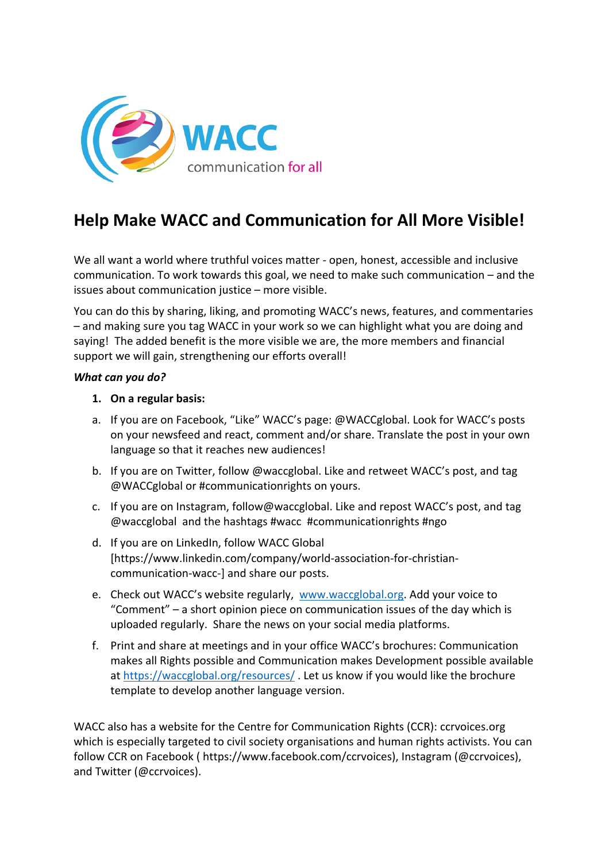

# **Help Make WACC and Communication for All More Visible!**

We all want a world where truthful voices matter - open, honest, accessible and inclusive communication. To work towards this goal, we need to make such communication – and the issues about communication justice – more visible.

You can do this by sharing, liking, and promoting WACC's news, features, and commentaries – and making sure you tag WACC in your work so we can highlight what you are doing and saying! The added benefit is the more visible we are, the more members and financial support we will gain, strengthening our efforts overall!

#### *What can you do?*

#### **1. On a regular basis:**

- a. If you are on Facebook, "Like" WACC's page: @WACCglobal. Look for WACC's posts on your newsfeed and react, comment and/or share. Translate the post in your own language so that it reaches new audiences!
- b. If you are on Twitter, follow @waccglobal. Like and retweet WACC's post, and tag @WACCglobal or #communicationrights on yours.
- c. If you are on Instagram, follow@waccglobal. Like and repost WACC's post, and tag @waccglobal and the hashtags #wacc #communicationrights #ngo
- d. If you are on LinkedIn, follow WACC Global [https://www.linkedin.com/company/world-association-for-christiancommunication-wacc-] and share our posts.
- e. Check out WACC's website regularly, www.waccglobal.org. Add your voice to "Comment" – a short opinion piece on communication issues of the day which is uploaded regularly. Share the news on your social media platforms.
- f. Print and share at meetings and in your office WACC's brochures: Communication makes all Rights possible and Communication makes Development possible available at https://waccglobal.org/resources/ . Let us know if you would like the brochure template to develop another language version.

WACC also has a website for the Centre for Communication Rights (CCR): ccrvoices.org which is especially targeted to civil society organisations and human rights activists. You can follow CCR on Facebook ( https://www.facebook.com/ccrvoices), Instagram (@ccrvoices), and Twitter (@ccrvoices).